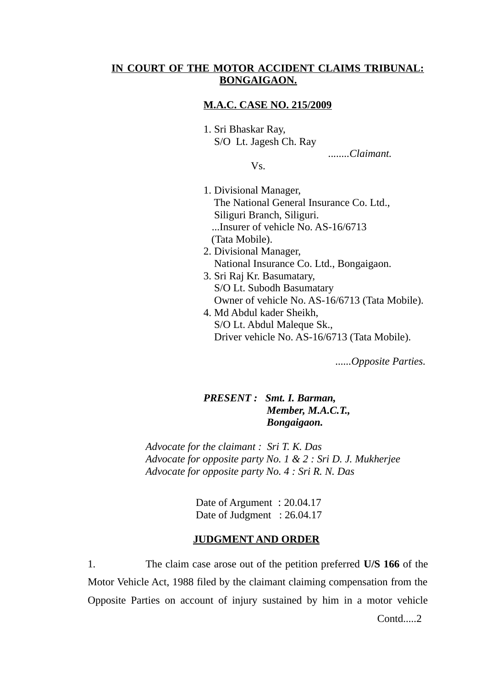## **IN COURT OF THE MOTOR ACCIDENT CLAIMS TRIBUNAL: BONGAIGAON.**

### **M.A.C. CASE NO. 215/2009**

1. Sri Bhaskar Ray, S/O Lt. Jagesh Ch. Ray

*........Claimant.* 

Vs.

- 1. Divisional Manager, The National General Insurance Co. Ltd., Siliguri Branch, Siliguri. ...Insurer of vehicle No. AS-16/6713 (Tata Mobile).
- 2. Divisional Manager, National Insurance Co. Ltd., Bongaigaon.
- 3. Sri Raj Kr. Basumatary, S/O Lt. Subodh Basumatary Owner of vehicle No. AS-16/6713 (Tata Mobile).
- 4. Md Abdul kader Sheikh, S/O Lt. Abdul Maleque Sk., Driver vehicle No. AS-16/6713 (Tata Mobile).

*......Opposite Parties.*

# *PRESENT : Smt. I. Barman, Member, M.A.C.T., Bongaigaon.*

*Advocate for the claimant : Sri T. K. Das Advocate for opposite party No. 1 & 2 : Sri D. J. Mukherjee Advocate for opposite party No. 4 : Sri R. N. Das*

> Date of Argument : 20.04.17 Date of Judgment : 26.04.17

#### **JUDGMENT AND ORDER**

1. The claim case arose out of the petition preferred **U/S 166** of the Motor Vehicle Act, 1988 filed by the claimant claiming compensation from the Opposite Parties on account of injury sustained by him in a motor vehicle

Contd.....2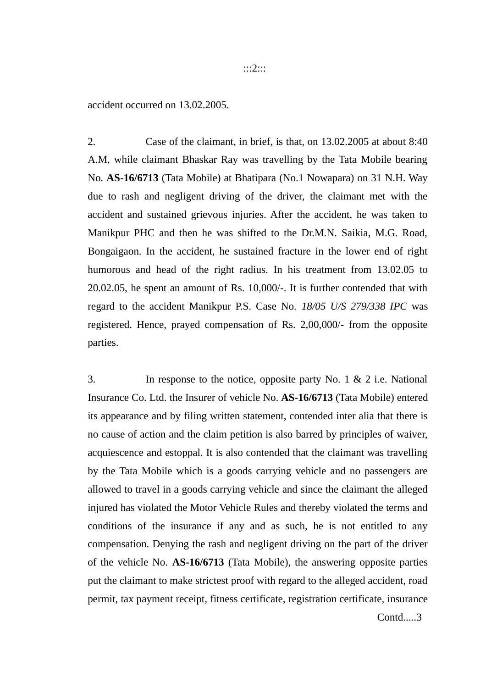accident occurred on 13.02.2005.

2. Case of the claimant, in brief, is that, on 13.02.2005 at about 8:40 A.M, while claimant Bhaskar Ray was travelling by the Tata Mobile bearing No. **AS-16/6713** (Tata Mobile) at Bhatipara (No.1 Nowapara) on 31 N.H. Way due to rash and negligent driving of the driver, the claimant met with the accident and sustained grievous injuries. After the accident, he was taken to Manikpur PHC and then he was shifted to the Dr.M.N. Saikia, M.G. Road, Bongaigaon. In the accident, he sustained fracture in the lower end of right humorous and head of the right radius. In his treatment from 13.02.05 to 20.02.05, he spent an amount of Rs. 10,000/-. It is further contended that with regard to the accident Manikpur P.S. Case No. *18/05 U/S 279/338 IPC* was registered. Hence, prayed compensation of Rs. 2,00,000/- from the opposite parties.

3. In response to the notice, opposite party No. 1 & 2 i.e. National Insurance Co. Ltd. the Insurer of vehicle No. **AS-16/6713** (Tata Mobile) entered its appearance and by filing written statement, contended inter alia that there is no cause of action and the claim petition is also barred by principles of waiver, acquiescence and estoppal. It is also contended that the claimant was travelling by the Tata Mobile which is a goods carrying vehicle and no passengers are allowed to travel in a goods carrying vehicle and since the claimant the alleged injured has violated the Motor Vehicle Rules and thereby violated the terms and conditions of the insurance if any and as such, he is not entitled to any compensation. Denying the rash and negligent driving on the part of the driver of the vehicle No. **AS-16/6713** (Tata Mobile), the answering opposite parties put the claimant to make strictest proof with regard to the alleged accident, road permit, tax payment receipt, fitness certificate, registration certificate, insurance Contd.....3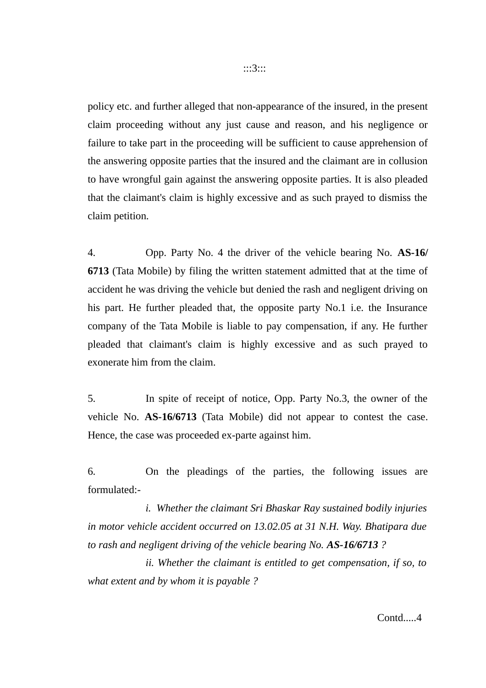policy etc. and further alleged that non-appearance of the insured, in the present claim proceeding without any just cause and reason, and his negligence or failure to take part in the proceeding will be sufficient to cause apprehension of the answering opposite parties that the insured and the claimant are in collusion to have wrongful gain against the answering opposite parties. It is also pleaded that the claimant's claim is highly excessive and as such prayed to dismiss the claim petition.

4. Opp. Party No. 4 the driver of the vehicle bearing No. **AS-16/ 6713** (Tata Mobile) by filing the written statement admitted that at the time of accident he was driving the vehicle but denied the rash and negligent driving on his part. He further pleaded that, the opposite party No.1 i.e. the Insurance company of the Tata Mobile is liable to pay compensation, if any. He further pleaded that claimant's claim is highly excessive and as such prayed to exonerate him from the claim.

5. In spite of receipt of notice, Opp. Party No.3, the owner of the vehicle No. **AS-16/6713** (Tata Mobile) did not appear to contest the case. Hence, the case was proceeded ex-parte against him.

6. On the pleadings of the parties, the following issues are formulated:-

*i. Whether the claimant Sri Bhaskar Ray sustained bodily injuries in motor vehicle accident occurred on 13.02.05 at 31 N.H. Way. Bhatipara due to rash and negligent driving of the vehicle bearing No. AS-16/6713 ?*

*ii. Whether the claimant is entitled to get compensation, if so, to what extent and by whom it is payable ?*

Contd.....4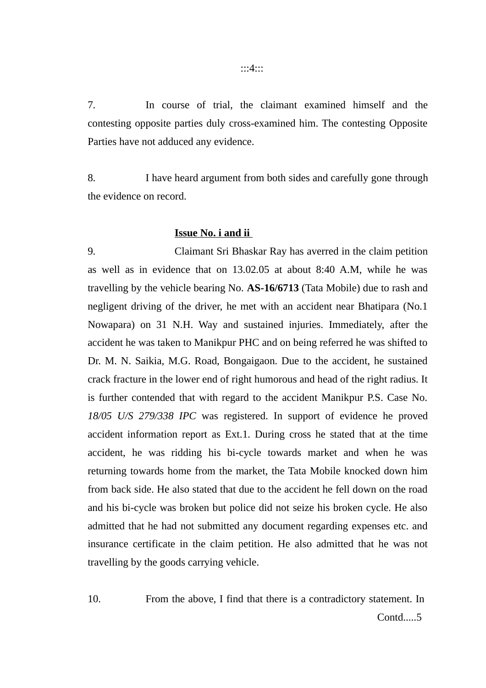:::4:::

7. In course of trial, the claimant examined himself and the contesting opposite parties duly cross-examined him. The contesting Opposite Parties have not adduced any evidence.

8. I have heard argument from both sides and carefully gone through the evidence on record.

#### **Issue No. i and ii**

9. Claimant Sri Bhaskar Ray has averred in the claim petition as well as in evidence that on 13.02.05 at about 8:40 A.M, while he was travelling by the vehicle bearing No. **AS-16/6713** (Tata Mobile) due to rash and negligent driving of the driver, he met with an accident near Bhatipara (No.1 Nowapara) on 31 N.H. Way and sustained injuries. Immediately, after the accident he was taken to Manikpur PHC and on being referred he was shifted to Dr. M. N. Saikia, M.G. Road, Bongaigaon. Due to the accident, he sustained crack fracture in the lower end of right humorous and head of the right radius. It is further contended that with regard to the accident Manikpur P.S. Case No. *18/05 U/S 279/338 IPC* was registered. In support of evidence he proved accident information report as Ext.1. During cross he stated that at the time accident, he was ridding his bi-cycle towards market and when he was returning towards home from the market, the Tata Mobile knocked down him from back side. He also stated that due to the accident he fell down on the road and his bi-cycle was broken but police did not seize his broken cycle. He also admitted that he had not submitted any document regarding expenses etc. and insurance certificate in the claim petition. He also admitted that he was not travelling by the goods carrying vehicle.

10. From the above, I find that there is a contradictory statement. In Contd.....5